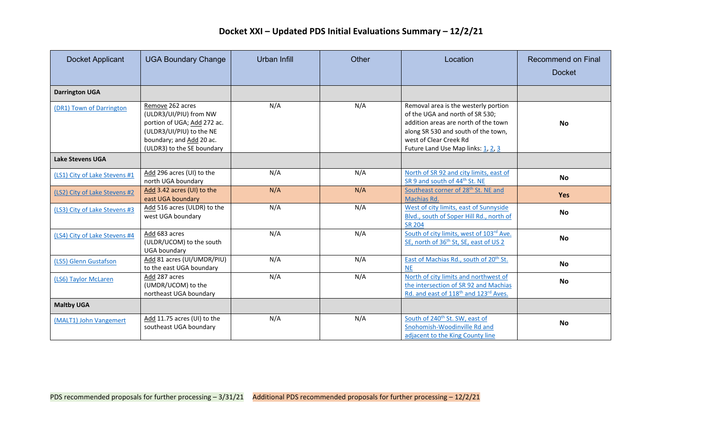| <b>Docket Applicant</b>       | <b>UGA Boundary Change</b>                                                                                                                                      | Urban Infill | Other | Location                                                                                                                                                                                                               | <b>Recommend on Final</b><br><b>Docket</b> |
|-------------------------------|-----------------------------------------------------------------------------------------------------------------------------------------------------------------|--------------|-------|------------------------------------------------------------------------------------------------------------------------------------------------------------------------------------------------------------------------|--------------------------------------------|
| <b>Darrington UGA</b>         |                                                                                                                                                                 |              |       |                                                                                                                                                                                                                        |                                            |
| (DR1) Town of Darrington      | Remove 262 acres<br>(ULDR3/UI/PIU) from NW<br>portion of UGA; Add 272 ac.<br>(ULDR3/UI/PIU) to the NE<br>boundary; and Add 20 ac.<br>(ULDR3) to the SE boundary | N/A          | N/A   | Removal area is the westerly portion<br>of the UGA and north of SR 530;<br>addition areas are north of the town<br>along SR 530 and south of the town,<br>west of Clear Creek Rd<br>Future Land Use Map links: 1, 2, 3 | <b>No</b>                                  |
| <b>Lake Stevens UGA</b>       |                                                                                                                                                                 |              |       |                                                                                                                                                                                                                        |                                            |
| (LS1) City of Lake Stevens #1 | Add 296 acres (UI) to the<br>north UGA boundary                                                                                                                 | N/A          | N/A   | North of SR 92 and city limits, east of<br>SR 9 and south of 44 <sup>th</sup> St. NE                                                                                                                                   | No                                         |
| (LS2) City of Lake Stevens #2 | Add 3.42 acres (UI) to the<br>east UGA boundary                                                                                                                 | N/A          | N/A   | Southeast corner of 28 <sup>th</sup> St. NE and<br>Machias Rd.                                                                                                                                                         | <b>Yes</b>                                 |
| (LS3) City of Lake Stevens #3 | Add 516 acres (ULDR) to the<br>west UGA boundary                                                                                                                | N/A          | N/A   | West of city limits, east of Sunnyside<br>Blvd., south of Soper Hill Rd., north of<br><b>SR 204</b>                                                                                                                    | No                                         |
| (LS4) City of Lake Stevens #4 | Add 683 acres<br>(ULDR/UCOM) to the south<br><b>UGA boundary</b>                                                                                                | N/A          | N/A   | South of city limits, west of 103rd Ave.<br>SE, north of 36 <sup>th</sup> St, SE, east of US 2                                                                                                                         | <b>No</b>                                  |
| (LS5) Glenn Gustafson         | Add 81 acres (UI/UMDR/PIU)<br>to the east UGA boundary                                                                                                          | N/A          | N/A   | East of Machias Rd., south of 20 <sup>th</sup> St.<br><b>NE</b>                                                                                                                                                        | No                                         |
| (LS6) Taylor McLaren          | Add 287 acres<br>(UMDR/UCOM) to the<br>northeast UGA boundary                                                                                                   | N/A          | N/A   | North of city limits and northwest of<br>the intersection of SR 92 and Machias<br>Rd. and east of 118 <sup>th</sup> and 123 <sup>rd</sup> Aves.                                                                        | <b>No</b>                                  |
| <b>Maltby UGA</b>             |                                                                                                                                                                 |              |       |                                                                                                                                                                                                                        |                                            |
| (MALT1) John Vangemert        | Add 11.75 acres (UI) to the<br>southeast UGA boundary                                                                                                           | N/A          | N/A   | South of 240 <sup>th</sup> St. SW, east of<br>Snohomish-Woodinville Rd and<br>adjacent to the King County line                                                                                                         | <b>No</b>                                  |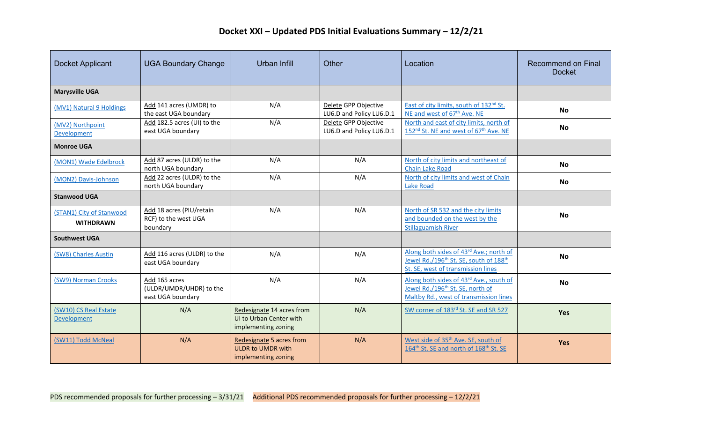| Docket Applicant                             | <b>UGA Boundary Change</b>                                    | <b>Urban Infill</b>                                                         | Other                                            | Location                                                                                                                                        | <b>Recommend on Final</b><br><b>Docket</b> |
|----------------------------------------------|---------------------------------------------------------------|-----------------------------------------------------------------------------|--------------------------------------------------|-------------------------------------------------------------------------------------------------------------------------------------------------|--------------------------------------------|
| <b>Marysville UGA</b>                        |                                                               |                                                                             |                                                  |                                                                                                                                                 |                                            |
| (MV1) Natural 9 Holdings                     | Add 141 acres (UMDR) to<br>the east UGA boundary              | N/A                                                                         | Delete GPP Objective<br>LU6.D and Policy LU6.D.1 | East of city limits, south of 132nd St.<br>NE and west of 67 <sup>th</sup> Ave. NE                                                              | <b>No</b>                                  |
| (MV2) Northpoint<br>Development              | Add 182.5 acres (UI) to the<br>east UGA boundary              | N/A                                                                         | Delete GPP Objective<br>LU6.D and Policy LU6.D.1 | North and east of city limits, north of<br>152 <sup>nd</sup> St. NE and west of 67 <sup>th</sup> Ave. NE                                        | <b>No</b>                                  |
| <b>Monroe UGA</b>                            |                                                               |                                                                             |                                                  |                                                                                                                                                 |                                            |
| (MON1) Wade Edelbrock                        | Add 87 acres (ULDR) to the<br>north UGA boundary              | N/A                                                                         | N/A                                              | North of city limits and northeast of<br><b>Chain Lake Road</b>                                                                                 | <b>No</b>                                  |
| (MON2) Davis-Johnson                         | Add 22 acres (ULDR) to the<br>north UGA boundary              | N/A                                                                         | N/A                                              | North of city limits and west of Chain<br>Lake Road                                                                                             | <b>No</b>                                  |
| <b>Stanwood UGA</b>                          |                                                               |                                                                             |                                                  |                                                                                                                                                 |                                            |
| (STAN1) City of Stanwood<br><b>WITHDRAWN</b> | Add 18 acres (PIU/retain<br>RCF) to the west UGA<br>boundary  | N/A                                                                         | N/A                                              | North of SR 532 and the city limits<br>and bounded on the west by the<br><b>Stillaguamish River</b>                                             | <b>No</b>                                  |
| <b>Southwest UGA</b>                         |                                                               |                                                                             |                                                  |                                                                                                                                                 |                                            |
| (SW8) Charles Austin                         | Add 116 acres (ULDR) to the<br>east UGA boundary              | N/A                                                                         | N/A                                              | Along both sides of 43rd Ave.; north of<br>Jewel Rd./196 <sup>th</sup> St. SE, south of 188 <sup>th</sup><br>St. SE, west of transmission lines | <b>No</b>                                  |
| (SW9) Norman Crooks                          | Add 165 acres<br>(ULDR/UMDR/UHDR) to the<br>east UGA boundary | N/A                                                                         | N/A                                              | Along both sides of 43rd Ave., south of<br>Jewel Rd./196 <sup>th</sup> St. SE, north of<br>Maltby Rd., west of transmission lines               | <b>No</b>                                  |
| (SW10) CS Real Estate<br><b>Development</b>  | N/A                                                           | Redesignate 14 acres from<br>UI to Urban Center with<br>implementing zoning | N/A                                              | SW corner of 183rd St. SE and SR 527                                                                                                            | <b>Yes</b>                                 |
| (SW11) Todd McNeal                           | N/A                                                           | Redesignate 5 acres from<br><b>ULDR to UMDR with</b><br>implementing zoning | N/A                                              | West side of 35 <sup>th</sup> Ave. SE, south of<br>164 <sup>th</sup> St. SE and north of 168 <sup>th</sup> St. SE                               | Yes                                        |